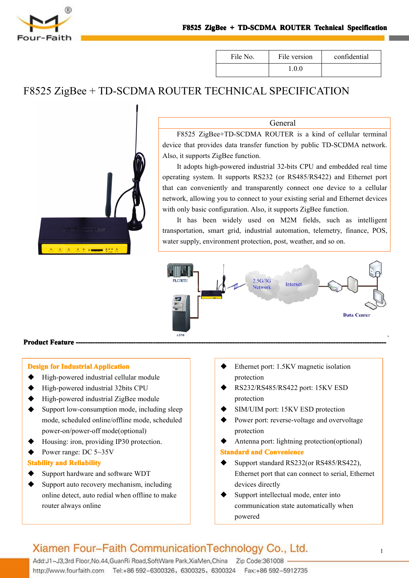

| File No. | File version | confidential |
|----------|--------------|--------------|
|          | -0.0         |              |

## F8525 ZigBee <sup>+</sup> TD-SCDMA ROUTER TECHNICAL SPECIFICATION

Also, it supports ZigBee function.



## General F8525 ZigBee+TD-SCDMA ROUTER is <sup>a</sup> kind of cellular terminal device that provides data transfer function by public TD-SCDMA network.

It adopts high-powered industrial 32-bits CPU and embedded real time operating system. It supports RS232 (or RS485/RS422) and Ethernet por<sup>t</sup> that can conveniently and transparently connect one device to <sup>a</sup> cellular network, allowing you to connect to your existing serial and Ethernet devices with only basic configuration. Also, it supports ZigBee function.

It has been widely used on M2M fields, such as intelligent transportation, smart grid, industrial automation, telemetry, finance, POS, water supply, environment protection, post, weather, and so on.



#### **Product Feature -**

#### **Design for Industrial Industrial IndustrialApplication Application Application**

- � High-powered industrial cellular module
- ◆ High-powered industrial 32bits CPU
- ◆ High-powered industrial ZigBee module
- $\blacklozenge$  Support low-consumption mode, including sleep mode, scheduled online/offline mode, scheduled power-on/power-off mode(optional)
- Housing: iron, providing IP30 protection.
- Power range: DC 5~35V

#### **Stability and Reliability**

- Support hardware and software WDT
- Support auto recovery mechanism, including online detect, auto redial when offline to make router always online
- Ethernet port: 1.5KV magnetic isolation protection
- � RS232/RS485/RS422 port: 15KV ESD protection
- SIM/UIM port: 15KV ESD protection
- Power port: reverse-voltage and overvoltage protection
- � Antenna port: lightning protection(optional)

#### **Standard and Convenience**

- Support standard RS232(or RS485/RS422), Ethernet por<sup>t</sup> that can connect to serial, Ethernet devices directly
- Support intellectual mode, enter into communication state automatically when powered

## Xiamen Four-Faith Communication Technology Co., Ltd.

Add:J1-J3,3rd Floor, No.44, GuanRi Road, SoftWare Park, XiaMen, China Zip Code:361008 http://www.fourfaith.com Tel:+86 592-6300326, 6300325, 6300324 Fax:+86 592-5912735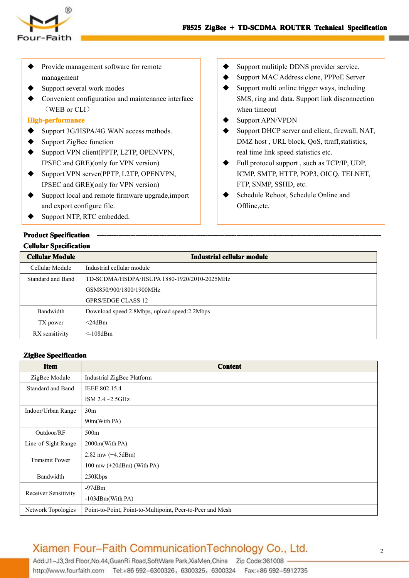

- Provide management software for remote management
- Support several work modes
- Convenient configuration and maintenance interface (WEB or CLI)

#### **High-performance igh-performanceigh-performance**

- **�** Support 3G/HSPA/4G WAN access methods.
- Support ZigBee function
- Support VPN client(PPTP, L2TP, OPENVPN, IPSEC and GRE)(only for VPN version)
- ◆ Support VPN server(PPTP, L2TP, OPENVPN, IPSEC and GRE)(only for VPN version)
- � Support local and remote firmware upgrade,import and expor<sup>t</sup> configure file.
- Support NTP, RTC embedded.

#### **Product Specification Cellular Specification**

- Support mulitiple DDNS provider service.
- Support MAC Address clone, PPPoE Server
- Support multi online trigger ways, including SMS, ring and data. Support link disconnection when timeout
- � Support APN/VPDN
- Support DHCP server and client, firewall, NAT, DMZ host , URL block, QoS, ttraff,statistics, real time link speed statistics etc.
- Full protocol support, such as TCP/IP, UDP, ICMP, SMTP, HTTP, POP3, OICQ, TELNET, FTP, SNMP, SSHD, etc.
- Schedule Reboot, Schedule Online and Offline,etc.

| <b>Cellular Module</b>   | Industrial cellular module                   |
|--------------------------|----------------------------------------------|
| Cellular Module          | Industrial cellular module                   |
| <b>Standard and Band</b> | TD-SCDMA/HSDPA/HSUPA 1880-1920/2010-2025MHz  |
|                          | GSM850/900/1800/1900MHz                      |
|                          | <b>GPRS/EDGE CLASS 12</b>                    |
| Bandwidth                | Download speed:2.8Mbps, upload speed:2.2Mbps |
| TX power                 | $<$ 24dBm                                    |
| RX sensitivity           | $\leq$ 108dBm                                |

#### $\mathbf{Z}$ **igBee** Specification

| <b>Item</b>              | <b>Content</b>                                             |
|--------------------------|------------------------------------------------------------|
| ZigBee Module            | Industrial ZigBee Platform                                 |
| <b>Standard and Band</b> | IEEE 802.15.4                                              |
|                          | ISM 2.4 $\sim$ 2.5GHz                                      |
| Indoor/Urban Range       | 30 <sub>m</sub>                                            |
|                          | 90m(With PA)                                               |
| Outdoor/RF               | 500 <sub>m</sub>                                           |
| Line-of-Sight Range      | 2000m(With PA)                                             |
| <b>Transmit Power</b>    | 2.82 mw $(+4.5dBm)$                                        |
|                          | 100 mw $(+20$ dBm) (With PA)                               |
| Bandwidth                | 250Kbps                                                    |
|                          | $-97dBm$                                                   |
| Receiver Sensitivity     | -103dBm(With PA)                                           |
| Network Topologies       | Point-to-Point, Point-to-Multipoint, Peer-to-Peer and Mesh |

## Xiamen Four-Faith Communication Technology Co., Ltd.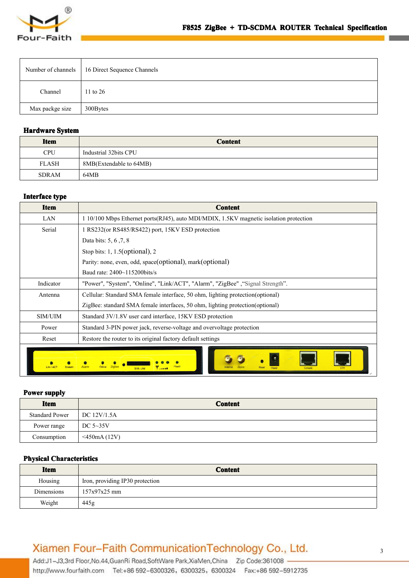

|                 | Number of channels   16 Direct Sequence Channels |
|-----------------|--------------------------------------------------|
| Channel         | 11 to 26                                         |
| Max packge size | 300Bytes                                         |

#### **Hardware** System

| <b>Item</b>  | <b>Content</b>          |
|--------------|-------------------------|
| <b>CPU</b>   | Industrial 32bits CPU   |
| <b>FLASH</b> | 8MB(Extendable to 64MB) |
| <b>SDRAM</b> | 64MB                    |

#### **Interface** *type*

| <b>Item</b> | <b>Content</b>                                                                          |
|-------------|-----------------------------------------------------------------------------------------|
| LAN         | 1 10/100 Mbps Ethernet ports (RJ45), auto MDI/MDIX, 1.5KV magnetic isolation protection |
| Serial      | 1 RS232(or RS485/RS422) port, 15KV ESD protection                                       |
|             | Data bits: 5, 6, 7, 8                                                                   |
|             | Stop bits: $1, 1.5$ (optional), $2$                                                     |
|             | Parity: none, even, odd, space(optional), mark(optional)                                |
|             | Baud rate: 2400~115200bits/s                                                            |
| Indicator   | "Power", "System", "Online", "Link/ACT", "Alarm", "ZigBee", "Signal Strength".          |
| Antenna     | Cellular: Standard SMA female interface, 50 ohm, lighting protection(optional)          |
|             | ZigBee: standard SMA female interfaces, 50 ohm, lighting protection (optional)          |
| SIM/UIM     | Standard 3V/1.8V user card interface, 15KV ESD protection                               |
| Power       | Standard 3-PIN power jack, reverse-voltage and overvoltage protection                   |
| Reset       | Restore the router to its original factory default settings                             |

#### **Power supply**

| <b>Item</b>           | <b>Content</b>           |
|-----------------------|--------------------------|
| <b>Standard Power</b> | $\overline{DC}$ 12V/1.5A |
| Power range           | DC $5\sim35V$            |
| Consumption           | $<$ 450mA (12V)          |

#### **Physical Characteristics**

| <b>Item</b> | <b>Content</b>                  |
|-------------|---------------------------------|
| Housing     | Iron, providing IP30 protection |
| Dimensions  | $157x97x25$ mm                  |
| Weight      | 445g                            |

## Xiamen Four-Faith CommunicationTechnology Co., Ltd.